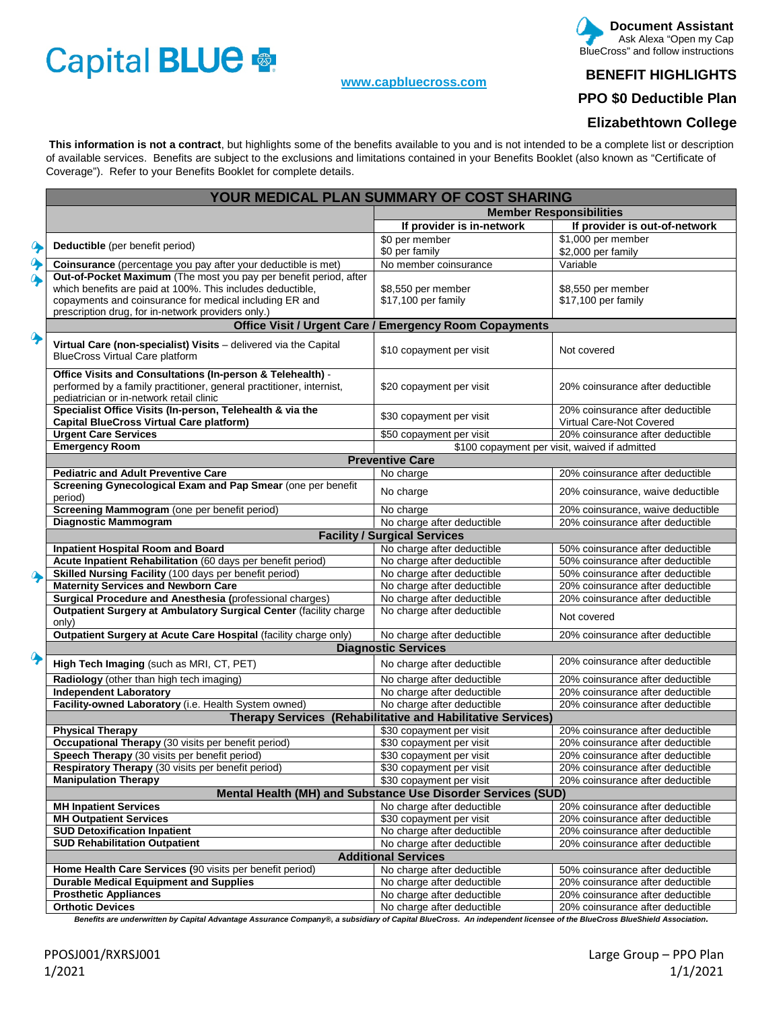# Capital BLUE

### **[www.capbluecross.com](http://www.capbluecross.com/)**

#### **Document Assistant**  Ask Alexa "Open my Cap BlueCross" and follow instructions

# **BENEFIT HIGHLIGHTS**

**PPO \$0 Deductible Plan** 

# **Elizabethtown College**

 **This information is not a contract**, but highlights some of the benefits available to you and is not intended to be a complete list or description of available services. Benefits are subject to the exclusions and limitations contained in your Benefits Booklet (also known as "Certificate of Coverage"). Refer to your Benefits Booklet for complete details.

|                  |                                                                                                                                                                                | YOUR MEDICAL PLAN SUMMARY OF COST SHARING                    |                                                              |  |  |  |  |
|------------------|--------------------------------------------------------------------------------------------------------------------------------------------------------------------------------|--------------------------------------------------------------|--------------------------------------------------------------|--|--|--|--|
|                  |                                                                                                                                                                                | <b>Member Responsibilities</b>                               |                                                              |  |  |  |  |
|                  |                                                                                                                                                                                | If provider is in-network                                    | If provider is out-of-network                                |  |  |  |  |
|                  |                                                                                                                                                                                | \$0 per member                                               | \$1,000 per member                                           |  |  |  |  |
| $\ddot{\bullet}$ | Deductible (per benefit period)                                                                                                                                                | \$0 per family                                               | \$2,000 per family                                           |  |  |  |  |
|                  | Coinsurance (percentage you pay after your deductible is met)                                                                                                                  | No member coinsurance                                        | Variable                                                     |  |  |  |  |
|                  | Out-of-Pocket Maximum (The most you pay per benefit period, after                                                                                                              |                                                              |                                                              |  |  |  |  |
|                  | which benefits are paid at 100%. This includes deductible,                                                                                                                     | \$8,550 per member                                           | \$8,550 per member                                           |  |  |  |  |
|                  | copayments and coinsurance for medical including ER and                                                                                                                        | \$17,100 per family                                          | \$17,100 per family                                          |  |  |  |  |
|                  | prescription drug, for in-network providers only.)                                                                                                                             |                                                              |                                                              |  |  |  |  |
|                  | <b>Office Visit / Urgent Care / Emergency Room Copayments</b>                                                                                                                  |                                                              |                                                              |  |  |  |  |
|                  | Virtual Care (non-specialist) Visits - delivered via the Capital<br><b>BlueCross Virtual Care platform</b>                                                                     | \$10 copayment per visit                                     | Not covered                                                  |  |  |  |  |
|                  |                                                                                                                                                                                |                                                              |                                                              |  |  |  |  |
|                  | Office Visits and Consultations (In-person & Telehealth) -<br>performed by a family practitioner, general practitioner, internist,<br>pediatrician or in-network retail clinic | \$20 copayment per visit                                     | 20% coinsurance after deductible                             |  |  |  |  |
|                  | Specialist Office Visits (In-person, Telehealth & via the<br><b>Capital BlueCross Virtual Care platform)</b>                                                                   | \$30 copayment per visit                                     | 20% coinsurance after deductible<br>Virtual Care-Not Covered |  |  |  |  |
|                  | <b>Urgent Care Services</b>                                                                                                                                                    | \$50 copayment per visit                                     | 20% coinsurance after deductible                             |  |  |  |  |
|                  | <b>Emergency Room</b>                                                                                                                                                          |                                                              | \$100 copayment per visit, waived if admitted                |  |  |  |  |
|                  |                                                                                                                                                                                | <b>Preventive Care</b>                                       |                                                              |  |  |  |  |
|                  | <b>Pediatric and Adult Preventive Care</b>                                                                                                                                     | No charge                                                    | 20% coinsurance after deductible                             |  |  |  |  |
|                  | Screening Gynecological Exam and Pap Smear (one per benefit                                                                                                                    |                                                              |                                                              |  |  |  |  |
|                  | period)                                                                                                                                                                        | No charge                                                    | 20% coinsurance, waive deductible                            |  |  |  |  |
|                  | Screening Mammogram (one per benefit period)                                                                                                                                   | No charge                                                    | 20% coinsurance, waive deductible                            |  |  |  |  |
|                  | <b>Diagnostic Mammogram</b>                                                                                                                                                    | No charge after deductible                                   | 20% coinsurance after deductible                             |  |  |  |  |
|                  |                                                                                                                                                                                | <b>Facility / Surgical Services</b>                          |                                                              |  |  |  |  |
|                  | <b>Inpatient Hospital Room and Board</b>                                                                                                                                       | No charge after deductible                                   | 50% coinsurance after deductible                             |  |  |  |  |
|                  | Acute Inpatient Rehabilitation (60 days per benefit period)                                                                                                                    | No charge after deductible                                   | 50% coinsurance after deductible                             |  |  |  |  |
|                  | Skilled Nursing Facility (100 days per benefit period)                                                                                                                         | No charge after deductible                                   | 50% coinsurance after deductible                             |  |  |  |  |
|                  | <b>Maternity Services and Newborn Care</b>                                                                                                                                     | No charge after deductible                                   | 20% coinsurance after deductible                             |  |  |  |  |
|                  | Surgical Procedure and Anesthesia (professional charges)                                                                                                                       | No charge after deductible                                   | 20% coinsurance after deductible                             |  |  |  |  |
|                  | Outpatient Surgery at Ambulatory Surgical Center (facility charge<br>only)                                                                                                     | No charge after deductible                                   | Not covered                                                  |  |  |  |  |
|                  | Outpatient Surgery at Acute Care Hospital (facility charge only)                                                                                                               | No charge after deductible                                   | 20% coinsurance after deductible                             |  |  |  |  |
|                  | <b>Diagnostic Services</b>                                                                                                                                                     |                                                              |                                                              |  |  |  |  |
|                  | High Tech Imaging (such as MRI, CT, PET)                                                                                                                                       | No charge after deductible                                   | 20% coinsurance after deductible                             |  |  |  |  |
|                  | Radiology (other than high tech imaging)                                                                                                                                       | No charge after deductible                                   | 20% coinsurance after deductible                             |  |  |  |  |
|                  | <b>Independent Laboratory</b>                                                                                                                                                  | No charge after deductible                                   | 20% coinsurance after deductible                             |  |  |  |  |
|                  | Facility-owned Laboratory (i.e. Health System owned)                                                                                                                           | No charge after deductible                                   | 20% coinsurance after deductible                             |  |  |  |  |
|                  | Therapy Services (Rehabilitative and Habilitative Services)                                                                                                                    |                                                              |                                                              |  |  |  |  |
|                  | <b>Physical Therapy</b>                                                                                                                                                        | \$30 copayment per visit                                     | 20% coinsurance after deductible                             |  |  |  |  |
|                  | <b>Occupational Therapy</b> (30 visits per benefit period)                                                                                                                     | \$30 copayment per visit                                     | 20% coinsurance after deductible                             |  |  |  |  |
|                  | Speech Therapy (30 visits per benefit period)                                                                                                                                  | \$30 copayment per visit                                     | 20% coinsurance after deductible                             |  |  |  |  |
|                  | Respiratory Therapy (30 visits per benefit period)                                                                                                                             | \$30 copayment per visit                                     | 20% coinsurance after deductible                             |  |  |  |  |
|                  | <b>Manipulation Therapy</b>                                                                                                                                                    | \$30 copayment per visit                                     | 20% coinsurance after deductible                             |  |  |  |  |
|                  |                                                                                                                                                                                | Mental Health (MH) and Substance Use Disorder Services (SUD) |                                                              |  |  |  |  |
|                  | <b>MH Inpatient Services</b>                                                                                                                                                   | No charge after deductible                                   | 20% coinsurance after deductible                             |  |  |  |  |
|                  | <b>MH Outpatient Services</b>                                                                                                                                                  | \$30 copayment per visit                                     | 20% coinsurance after deductible                             |  |  |  |  |
|                  | <b>SUD Detoxification Inpatient</b>                                                                                                                                            | No charge after deductible<br>No charge after deductible     | 20% coinsurance after deductible                             |  |  |  |  |
|                  | <b>SUD Rehabilitation Outpatient</b>                                                                                                                                           | 20% coinsurance after deductible                             |                                                              |  |  |  |  |
|                  | <b>Additional Services</b>                                                                                                                                                     |                                                              |                                                              |  |  |  |  |
|                  | Home Health Care Services (90 visits per benefit period)                                                                                                                       | No charge after deductible                                   | 50% coinsurance after deductible                             |  |  |  |  |
|                  | <b>Durable Medical Equipment and Supplies</b>                                                                                                                                  | No charge after deductible                                   | 20% coinsurance after deductible                             |  |  |  |  |
|                  | <b>Prosthetic Appliances</b>                                                                                                                                                   | No charge after deductible                                   | 20% coinsurance after deductible                             |  |  |  |  |
|                  | <b>Orthotic Devices</b>                                                                                                                                                        | No charge after deductible                                   | 20% coinsurance after deductible                             |  |  |  |  |

*Benefits are underwritten by Capital Advantage Assurance Company®, a subsidiary of Capital BlueCross. An independent licensee of the BlueCross BlueShield Association.*